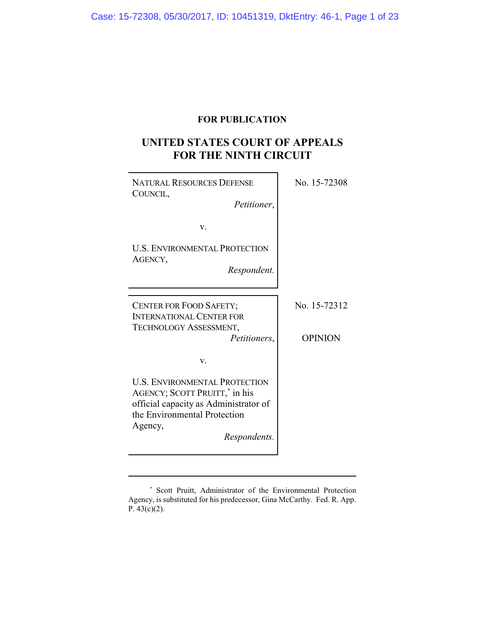## **FOR PUBLICATION**

# **UNITED STATES COURT OF APPEALS FOR THE NINTH CIRCUIT**

| <b>NATURAL RESOURCES DEFENSE</b><br>COUNCIL,<br>Petitioner,                                                                                                                           | No. 15-72308                   |
|---------------------------------------------------------------------------------------------------------------------------------------------------------------------------------------|--------------------------------|
| V.                                                                                                                                                                                    |                                |
| <b>U.S. ENVIRONMENTAL PROTECTION</b><br>AGENCY,<br>Respondent.                                                                                                                        |                                |
| CENTER FOR FOOD SAFETY;<br><b>INTERNATIONAL CENTER FOR</b><br>TECHNOLOGY ASSESSMENT,                                                                                                  | No. 15-72312<br><b>OPINION</b> |
| Petitioners,                                                                                                                                                                          |                                |
| V.                                                                                                                                                                                    |                                |
| <b>U.S. ENVIRONMENTAL PROTECTION</b><br>AGENCY; SCOTT PRUITT, <sup>*</sup> in his<br>official capacity as Administrator of<br>the Environmental Protection<br>Agency,<br>Respondents. |                                |

**<sup>\*</sup>** Scott Pruitt, Administrator of the Environmental Protection Agency, is substituted for his predecessor, Gina McCarthy. Fed. R. App. P. 43(c)(2).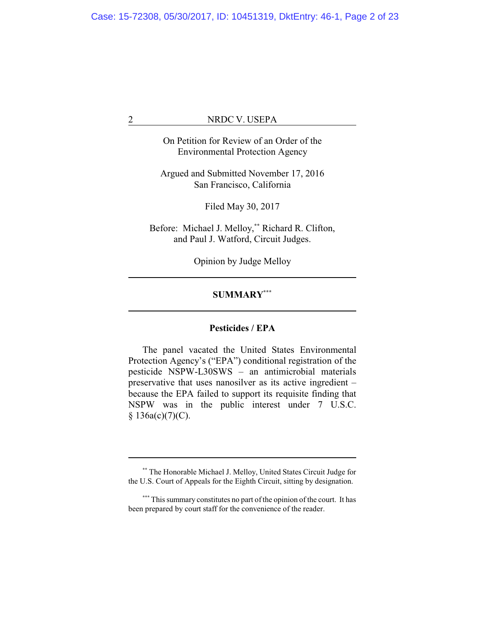On Petition for Review of an Order of the Environmental Protection Agency

Argued and Submitted November 17, 2016 San Francisco, California

Filed May 30, 2017

Before: Michael J. Melloy, **\*\*** Richard R. Clifton, and Paul J. Watford, Circuit Judges.

Opinion by Judge Melloy

### **SUMMARY\*\*\***

### **Pesticides / EPA**

The panel vacated the United States Environmental Protection Agency's ("EPA") conditional registration of the pesticide NSPW-L30SWS – an antimicrobial materials preservative that uses nanosilver as its active ingredient – because the EPA failed to support its requisite finding that NSPW was in the public interest under 7 U.S.C.  $§ 136a(c)(7)(C).$ 

**<sup>\*\*</sup>** The Honorable Michael J. Melloy, United States Circuit Judge for the U.S. Court of Appeals for the Eighth Circuit, sitting by designation.

**<sup>\*\*\*</sup>** This summary constitutes no part of the opinion of the court. It has been prepared by court staff for the convenience of the reader.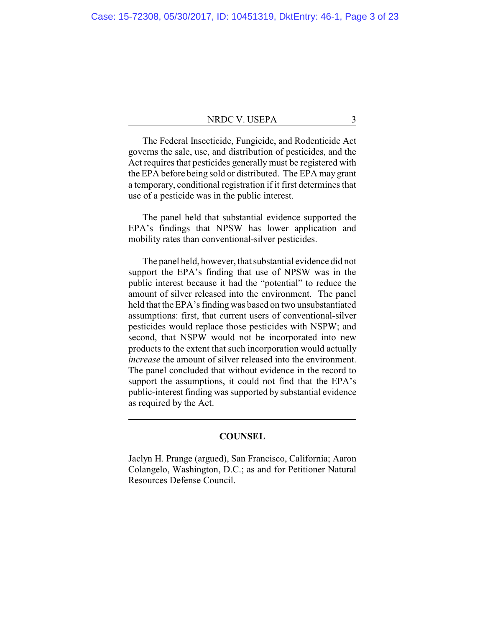The Federal Insecticide, Fungicide, and Rodenticide Act governs the sale, use, and distribution of pesticides, and the Act requires that pesticides generally must be registered with the EPA before being sold or distributed. The EPA may grant a temporary, conditional registration if it first determines that use of a pesticide was in the public interest.

The panel held that substantial evidence supported the EPA's findings that NPSW has lower application and mobility rates than conventional-silver pesticides.

The panel held, however, that substantial evidence did not support the EPA's finding that use of NPSW was in the public interest because it had the "potential" to reduce the amount of silver released into the environment. The panel held that the EPA's finding was based on two unsubstantiated assumptions: first, that current users of conventional-silver pesticides would replace those pesticides with NSPW; and second, that NSPW would not be incorporated into new products to the extent that such incorporation would actually *increase* the amount of silver released into the environment. The panel concluded that without evidence in the record to support the assumptions, it could not find that the EPA's public-interest finding was supported by substantial evidence as required by the Act.

### **COUNSEL**

Jaclyn H. Prange (argued), San Francisco, California; Aaron Colangelo, Washington, D.C.; as and for Petitioner Natural Resources Defense Council.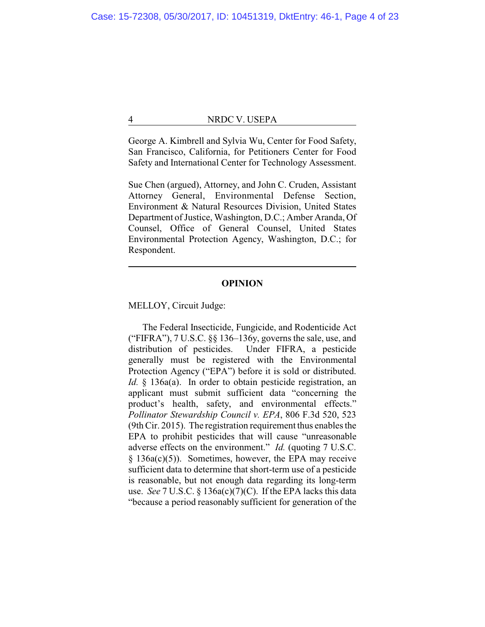George A. Kimbrell and Sylvia Wu, Center for Food Safety, San Francisco, California, for Petitioners Center for Food Safety and International Center for Technology Assessment.

Sue Chen (argued), Attorney, and John C. Cruden, Assistant Attorney General, Environmental Defense Section, Environment & Natural Resources Division, United States Department of Justice, Washington, D.C.; Amber Aranda, Of Counsel, Office of General Counsel, United States Environmental Protection Agency, Washington, D.C.; for Respondent.

### **OPINION**

MELLOY, Circuit Judge:

The Federal Insecticide, Fungicide, and Rodenticide Act ("FIFRA"),  $7 U.S.C.$   $\S$ § 136–136y, governs the sale, use, and distribution of pesticides. Under FIFRA, a pesticide generally must be registered with the Environmental Protection Agency ("EPA") before it is sold or distributed. *Id.* § 136a(a). In order to obtain pesticide registration, an applicant must submit sufficient data "concerning the product's health, safety, and environmental effects." *Pollinator Stewardship Council v. EPA*, 806 F.3d 520, 523 (9th Cir. 2015). The registration requirement thus enables the EPA to prohibit pesticides that will cause "unreasonable adverse effects on the environment." *Id.* (quoting 7 U.S.C. § 136a(c)(5)). Sometimes, however, the EPA may receive sufficient data to determine that short-term use of a pesticide is reasonable, but not enough data regarding its long-term use. *See* 7 U.S.C. § 136a(c)(7)(C). If the EPA lacks this data "because a period reasonably sufficient for generation of the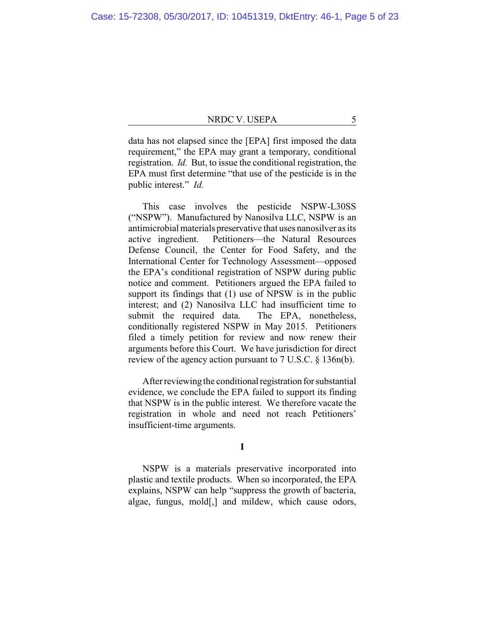data has not elapsed since the [EPA] first imposed the data requirement," the EPA may grant a temporary, conditional registration. *Id.* But, to issue the conditional registration, the EPA must first determine "that use of the pesticide is in the public interest." *Id.*

This case involves the pesticide NSPW-L30SS ("NSPW"). Manufactured by Nanosilva LLC, NSPW is an antimicrobial materials preservative that uses nanosilver as its active ingredient. Petitioners—the Natural Resources Defense Council, the Center for Food Safety, and the International Center for Technology Assessment—opposed the EPA's conditional registration of NSPW during public notice and comment. Petitioners argued the EPA failed to support its findings that (1) use of NPSW is in the public interest; and (2) Nanosilva LLC had insufficient time to submit the required data. The EPA, nonetheless, conditionally registered NSPW in May 2015. Petitioners filed a timely petition for review and now renew their arguments before this Court. We have jurisdiction for direct review of the agency action pursuant to 7 U.S.C. § 136n(b).

After reviewing the conditional registration for substantial evidence, we conclude the EPA failed to support its finding that NSPW is in the public interest. We therefore vacate the registration in whole and need not reach Petitioners' insufficient-time arguments.

**I**

NSPW is a materials preservative incorporated into plastic and textile products. When so incorporated, the EPA explains, NSPW can help "suppress the growth of bacteria, algae, fungus, mold[,] and mildew, which cause odors,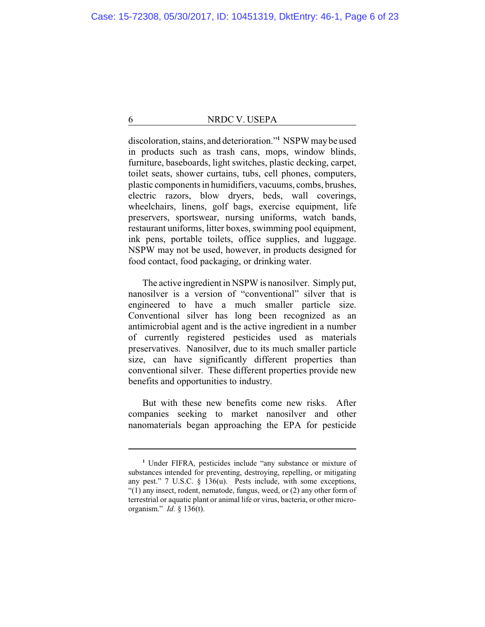discoloration, stains, and deterioration."**<sup>1</sup>** NSPW may be used in products such as trash cans, mops, window blinds, furniture, baseboards, light switches, plastic decking, carpet, toilet seats, shower curtains, tubs, cell phones, computers, plastic components in humidifiers, vacuums, combs, brushes, electric razors, blow dryers, beds, wall coverings, wheelchairs, linens, golf bags, exercise equipment, life preservers, sportswear, nursing uniforms, watch bands, restaurant uniforms, litter boxes, swimming pool equipment, ink pens, portable toilets, office supplies, and luggage. NSPW may not be used, however, in products designed for food contact, food packaging, or drinking water.

The active ingredient in NSPW is nanosilver. Simply put, nanosilver is a version of "conventional" silver that is engineered to have a much smaller particle size. Conventional silver has long been recognized as an antimicrobial agent and is the active ingredient in a number of currently registered pesticides used as materials preservatives. Nanosilver, due to its much smaller particle size, can have significantly different properties than conventional silver. These different properties provide new benefits and opportunities to industry.

But with these new benefits come new risks. After companies seeking to market nanosilver and other nanomaterials began approaching the EPA for pesticide

**<sup>1</sup>** Under FIFRA, pesticides include "any substance or mixture of substances intended for preventing, destroying, repelling, or mitigating any pest." 7 U.S.C. § 136(u). Pests include, with some exceptions, "(1) any insect, rodent, nematode, fungus, weed, or (2) any other form of terrestrial or aquatic plant or animal life or virus, bacteria, or other microorganism." *Id.* § 136(t).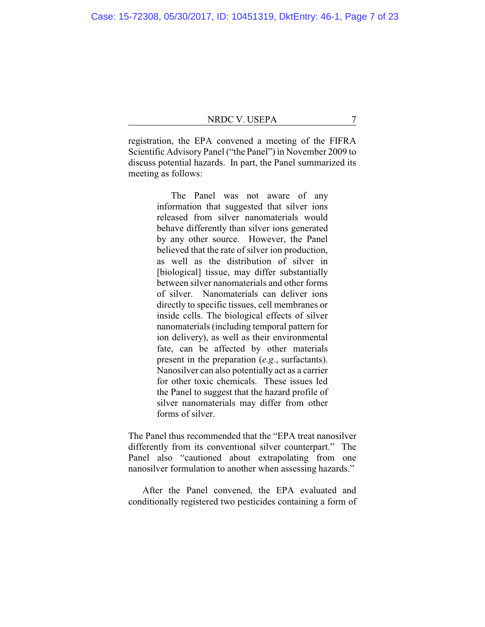registration, the EPA convened a meeting of the FIFRA Scientific Advisory Panel ("the Panel") in November 2009 to discuss potential hazards. In part, the Panel summarized its meeting as follows:

> The Panel was not aware of any information that suggested that silver ions released from silver nanomaterials would behave differently than silver ions generated by any other source. However, the Panel believed that the rate of silver ion production, as well as the distribution of silver in [biological] tissue, may differ substantially between silver nanomaterials and other forms of silver. Nanomaterials can deliver ions directly to specific tissues, cell membranes or inside cells. The biological effects of silver nanomaterials (including temporal pattern for ion delivery), as well as their environmental fate, can be affected by other materials present in the preparation (*e.g.*, surfactants). Nanosilver can also potentially act as a carrier for other toxic chemicals. These issues led the Panel to suggest that the hazard profile of silver nanomaterials may differ from other forms of silver.

The Panel thus recommended that the "EPA treat nanosilver differently from its conventional silver counterpart." The Panel also "cautioned about extrapolating from one nanosilver formulation to another when assessing hazards."

After the Panel convened, the EPA evaluated and conditionally registered two pesticides containing a form of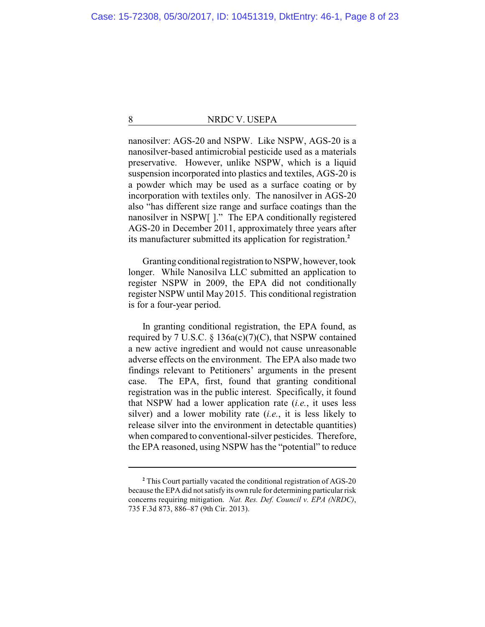nanosilver: AGS-20 and NSPW. Like NSPW, AGS-20 is a nanosilver-based antimicrobial pesticide used as a materials preservative. However, unlike NSPW, which is a liquid suspension incorporated into plastics and textiles, AGS-20 is a powder which may be used as a surface coating or by incorporation with textiles only. The nanosilver in AGS-20 also "has different size range and surface coatings than the nanosilver in NSPW[ ]." The EPA conditionally registered AGS-20 in December 2011, approximately three years after its manufacturer submitted its application for registration.**<sup>2</sup>**

Granting conditional registration to NSPW, however, took longer. While Nanosilva LLC submitted an application to register NSPW in 2009, the EPA did not conditionally register NSPW until May 2015. This conditional registration is for a four-year period.

In granting conditional registration, the EPA found, as required by 7 U.S.C. § 136a(c)(7)(C), that NSPW contained a new active ingredient and would not cause unreasonable adverse effects on the environment. The EPA also made two findings relevant to Petitioners' arguments in the present case. The EPA, first, found that granting conditional registration was in the public interest. Specifically, it found that NSPW had a lower application rate (*i.e.*, it uses less silver) and a lower mobility rate (*i.e.*, it is less likely to release silver into the environment in detectable quantities) when compared to conventional-silver pesticides. Therefore, the EPA reasoned, using NSPW has the "potential" to reduce

**<sup>2</sup>** This Court partially vacated the conditional registration of AGS-20 because the EPA did not satisfy its own rule for determining particular risk concerns requiring mitigation. *Nat. Res. Def. Council v. EPA (NRDC)*, 735 F.3d 873, 886–87 (9th Cir. 2013).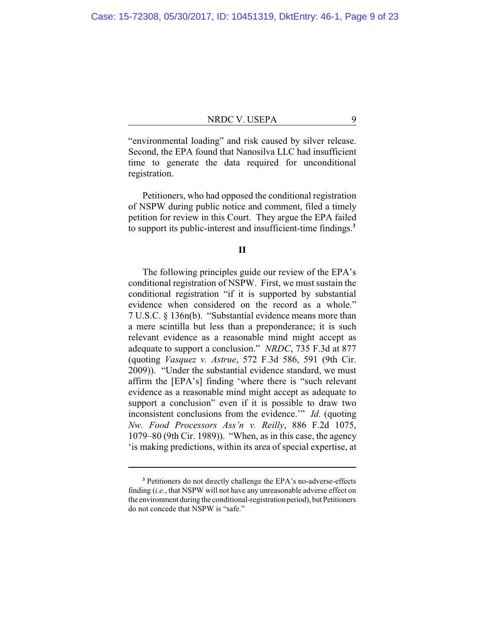"environmental loading" and risk caused by silver release. Second, the EPA found that Nanosilva LLC had insufficient time to generate the data required for unconditional registration.

Petitioners, who had opposed the conditional registration of NSPW during public notice and comment, filed a timely petition for review in this Court. They argue the EPA failed to support its public-interest and insufficient-time findings.**<sup>3</sup>**

### **II**

The following principles guide our review of the EPA's conditional registration of NSPW. First, we must sustain the conditional registration "if it is supported by substantial evidence when considered on the record as a whole." 7 U.S.C. § 136n(b). "Substantial evidence means more than a mere scintilla but less than a preponderance; it is such relevant evidence as a reasonable mind might accept as adequate to support a conclusion." *NRDC*, 735 F.3d at 877 (quoting *Vasquez v. Astrue*, 572 F.3d 586, 591 (9th Cir. 2009)). "Under the substantial evidence standard, we must affirm the [EPA's] finding 'where there is "such relevant evidence as a reasonable mind might accept as adequate to support a conclusion" even if it is possible to draw two inconsistent conclusions from the evidence.'" *Id.* (quoting *Nw. Food Processors Ass'n v. Reilly*, 886 F.2d 1075, 1079–80 (9th Cir. 1989)). "When, as in this case, the agency 'is making predictions, within its area of special expertise, at

**<sup>3</sup>** Petitioners do not directly challenge the EPA's no-adverse-effects finding (*i.e.*, that NSPW will not have any unreasonable adverse effect on the environment during the conditional-registration period), but Petitioners do not concede that NSPW is "safe."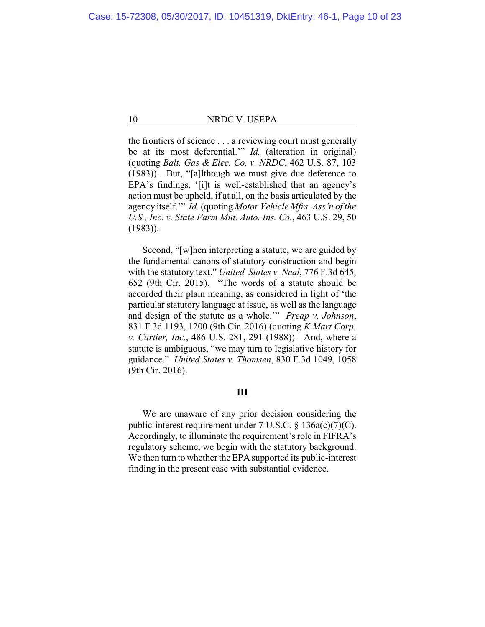the frontiers of science . . . a reviewing court must generally be at its most deferential.'" *Id.* (alteration in original) (quoting *Balt. Gas & Elec. Co. v. NRDC*, 462 U.S. 87, 103 (1983)). But, "[a]lthough we must give due deference to EPA's findings, '[i]t is well-established that an agency's action must be upheld, if at all, on the basis articulated by the agency itself.'" *Id.* (quoting *Motor Vehicle Mfrs. Ass'n of the U.S., Inc. v. State Farm Mut. Auto. Ins. Co.*, 463 U.S. 29, 50 (1983)).

Second, "[w]hen interpreting a statute, we are guided by the fundamental canons of statutory construction and begin with the statutory text." *United States v. Neal*, 776 F.3d 645, 652 (9th Cir. 2015). "The words of a statute should be accorded their plain meaning, as considered in light of 'the particular statutory language at issue, as well as the language and design of the statute as a whole.'" *Preap v. Johnson*, 831 F.3d 1193, 1200 (9th Cir. 2016) (quoting *K Mart Corp. v. Cartier, Inc.*, 486 U.S. 281, 291 (1988)). And, where a statute is ambiguous, "we may turn to legislative history for guidance." *United States v. Thomsen*, 830 F.3d 1049, 1058 (9th Cir. 2016).

### **III**

We are unaware of any prior decision considering the public-interest requirement under 7 U.S.C. § 136a(c)(7)(C). Accordingly, to illuminate the requirement's role in FIFRA's regulatory scheme, we begin with the statutory background. We then turn to whether the EPA supported its public-interest finding in the present case with substantial evidence.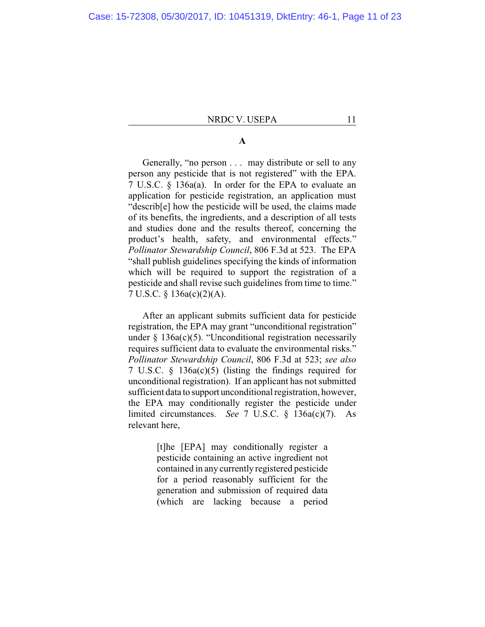### **A**

Generally, "no person . . . may distribute or sell to any person any pesticide that is not registered" with the EPA. 7 U.S.C. § 136a(a). In order for the EPA to evaluate an application for pesticide registration, an application must "describ[e] how the pesticide will be used, the claims made of its benefits, the ingredients, and a description of all tests and studies done and the results thereof, concerning the product's health, safety, and environmental effects." *Pollinator Stewardship Council*, 806 F.3d at 523. The EPA "shall publish guidelines specifying the kinds of information which will be required to support the registration of a pesticide and shall revise such guidelines from time to time." 7 U.S.C. § 136a(c)(2)(A).

After an applicant submits sufficient data for pesticide registration, the EPA may grant "unconditional registration" under  $\S$  136a(c)(5). "Unconditional registration necessarily requires sufficient data to evaluate the environmental risks." *Pollinator Stewardship Council*, 806 F.3d at 523; *see also* 7 U.S.C. § 136a(c)(5) (listing the findings required for unconditional registration). If an applicant has not submitted sufficient data to support unconditional registration, however, the EPA may conditionally register the pesticide under limited circumstances. *See* 7 U.S.C. § 136a(c)(7). As relevant here,

> [t]he [EPA] may conditionally register a pesticide containing an active ingredient not contained in any currently registered pesticide for a period reasonably sufficient for the generation and submission of required data (which are lacking because a period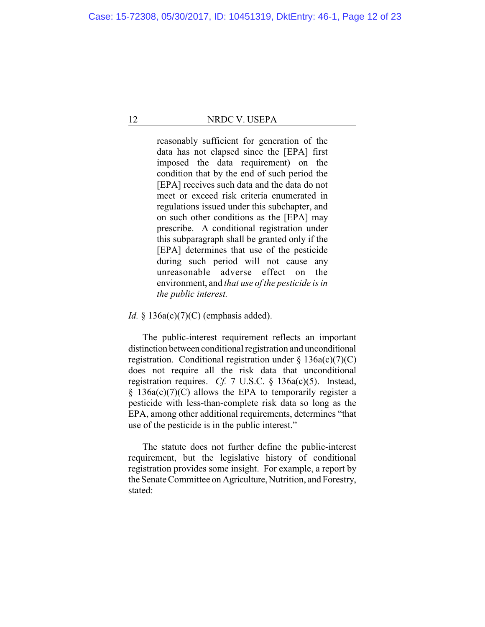reasonably sufficient for generation of the data has not elapsed since the [EPA] first imposed the data requirement) on the condition that by the end of such period the [EPA] receives such data and the data do not meet or exceed risk criteria enumerated in regulations issued under this subchapter, and on such other conditions as the [EPA] may prescribe. A conditional registration under this subparagraph shall be granted only if the [EPA] determines that use of the pesticide during such period will not cause any unreasonable adverse effect on the environment, and *that use of the pesticide is in the public interest.*

*Id.* § 136a(c)(7)(C) (emphasis added).

The public-interest requirement reflects an important distinction between conditional registration and unconditional registration. Conditional registration under  $\S$  136a(c)(7)(C) does not require all the risk data that unconditional registration requires. *Cf.* 7 U.S.C. § 136a(c)(5). Instead,  $§$  136a(c)(7)(C) allows the EPA to temporarily register a pesticide with less-than-complete risk data so long as the EPA, among other additional requirements, determines "that use of the pesticide is in the public interest."

The statute does not further define the public-interest requirement, but the legislative history of conditional registration provides some insight. For example, a report by the Senate Committee on Agriculture, Nutrition, and Forestry, stated: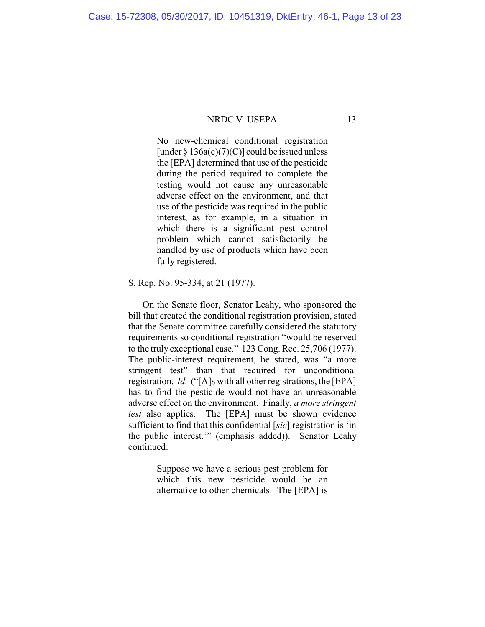No new-chemical conditional registration [under  $\S 136a(c)(7)(C)$ ] could be issued unless the [EPA] determined that use of the pesticide during the period required to complete the testing would not cause any unreasonable adverse effect on the environment, and that use of the pesticide was required in the public interest, as for example, in a situation in which there is a significant pest control problem which cannot satisfactorily be handled by use of products which have been fully registered.

S. Rep. No. 95-334, at 21 (1977).

On the Senate floor, Senator Leahy, who sponsored the bill that created the conditional registration provision, stated that the Senate committee carefully considered the statutory requirements so conditional registration "would be reserved to the truly exceptional case." 123 Cong. Rec. 25,706 (1977). The public-interest requirement, he stated, was "a more stringent test" than that required for unconditional registration. *Id.* ("[A]s with all other registrations, the [EPA] has to find the pesticide would not have an unreasonable adverse effect on the environment. Finally, *a more stringent test* also applies. The [EPA] must be shown evidence sufficient to find that this confidential [*sic*] registration is 'in the public interest.'" (emphasis added)). Senator Leahy continued:

> Suppose we have a serious pest problem for which this new pesticide would be an alternative to other chemicals. The [EPA] is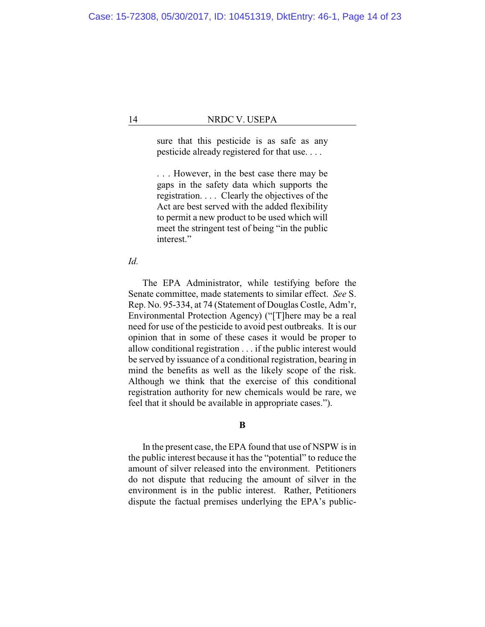sure that this pesticide is as safe as any pesticide already registered for that use. . . .

. . . However, in the best case there may be gaps in the safety data which supports the registration. . . . Clearly the objectives of the Act are best served with the added flexibility to permit a new product to be used which will meet the stringent test of being "in the public interest."

*Id.*

The EPA Administrator, while testifying before the Senate committee, made statements to similar effect. *See* S. Rep. No. 95-334, at 74 (Statement of Douglas Costle, Adm'r, Environmental Protection Agency) ("[T]here may be a real need for use of the pesticide to avoid pest outbreaks. It is our opinion that in some of these cases it would be proper to allow conditional registration . . . if the public interest would be served by issuance of a conditional registration, bearing in mind the benefits as well as the likely scope of the risk. Although we think that the exercise of this conditional registration authority for new chemicals would be rare, we feel that it should be available in appropriate cases.").

**B**

In the present case, the EPA found that use of NSPW is in the public interest because it has the "potential" to reduce the amount of silver released into the environment. Petitioners do not dispute that reducing the amount of silver in the environment is in the public interest. Rather, Petitioners dispute the factual premises underlying the EPA's public-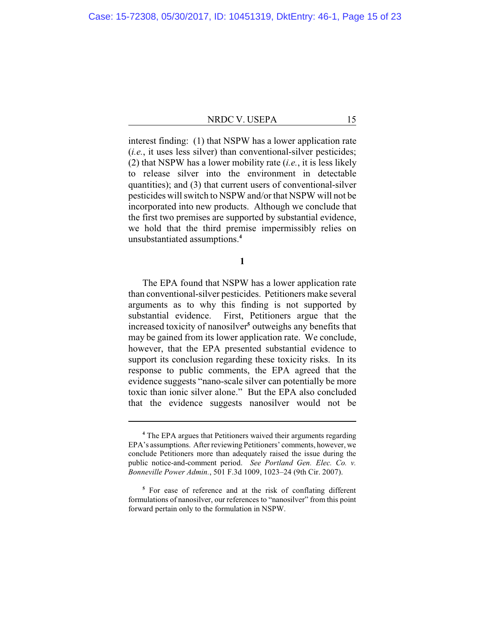interest finding: (1) that NSPW has a lower application rate (*i.e.*, it uses less silver) than conventional-silver pesticides; (2) that NSPW has a lower mobility rate (*i.e.*, it is less likely to release silver into the environment in detectable quantities); and (3) that current users of conventional-silver pesticides will switch to NSPW and/or that NSPW will not be incorporated into new products. Although we conclude that the first two premises are supported by substantial evidence, we hold that the third premise impermissibly relies on unsubstantiated assumptions.**<sup>4</sup>**

**1**

The EPA found that NSPW has a lower application rate than conventional-silver pesticides. Petitioners make several arguments as to why this finding is not supported by substantial evidence. First, Petitioners argue that the increased toxicity of nanosilver**<sup>5</sup>** outweighs any benefits that may be gained from its lower application rate. We conclude, however, that the EPA presented substantial evidence to support its conclusion regarding these toxicity risks. In its response to public comments, the EPA agreed that the evidence suggests "nano-scale silver can potentially be more toxic than ionic silver alone." But the EPA also concluded that the evidence suggests nanosilver would not be

**<sup>4</sup>** The EPA argues that Petitioners waived their arguments regarding EPA's assumptions. After reviewing Petitioners' comments, however, we conclude Petitioners more than adequately raised the issue during the public notice-and-comment period. *See Portland Gen. Elec. Co. v. Bonneville Power Admin.*, 501 F.3d 1009, 1023–24 (9th Cir. 2007).

**<sup>5</sup>** For ease of reference and at the risk of conflating different formulations of nanosilver, our references to "nanosilver" from this point forward pertain only to the formulation in NSPW.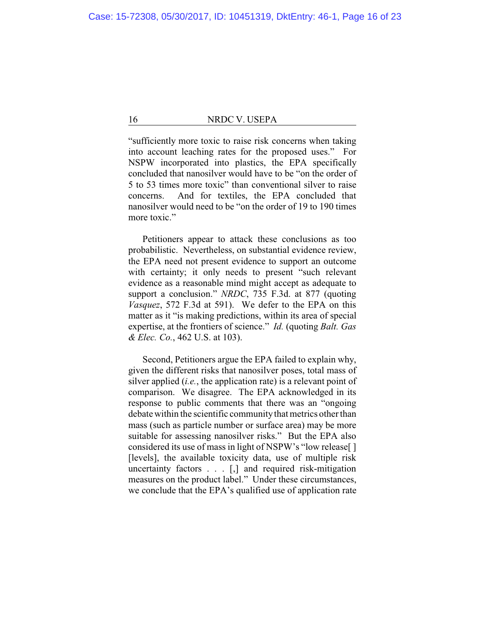"sufficiently more toxic to raise risk concerns when taking into account leaching rates for the proposed uses." For NSPW incorporated into plastics, the EPA specifically concluded that nanosilver would have to be "on the order of 5 to 53 times more toxic" than conventional silver to raise concerns. And for textiles, the EPA concluded that nanosilver would need to be "on the order of 19 to 190 times more toxic."

Petitioners appear to attack these conclusions as too probabilistic. Nevertheless, on substantial evidence review, the EPA need not present evidence to support an outcome with certainty; it only needs to present "such relevant evidence as a reasonable mind might accept as adequate to support a conclusion." *NRDC*, 735 F.3d. at 877 (quoting *Vasquez*, 572 F.3d at 591). We defer to the EPA on this matter as it "is making predictions, within its area of special expertise, at the frontiers of science." *Id.* (quoting *Balt. Gas & Elec. Co.*, 462 U.S. at 103).

Second, Petitioners argue the EPA failed to explain why, given the different risks that nanosilver poses, total mass of silver applied (*i.e.*, the application rate) is a relevant point of comparison. We disagree. The EPA acknowledged in its response to public comments that there was an "ongoing debate within the scientific community that metrics other than mass (such as particle number or surface area) may be more suitable for assessing nanosilver risks." But the EPA also considered its use of mass in light of NSPW's "low release[ ] [levels], the available toxicity data, use of multiple risk uncertainty factors . . . [,] and required risk-mitigation measures on the product label." Under these circumstances, we conclude that the EPA's qualified use of application rate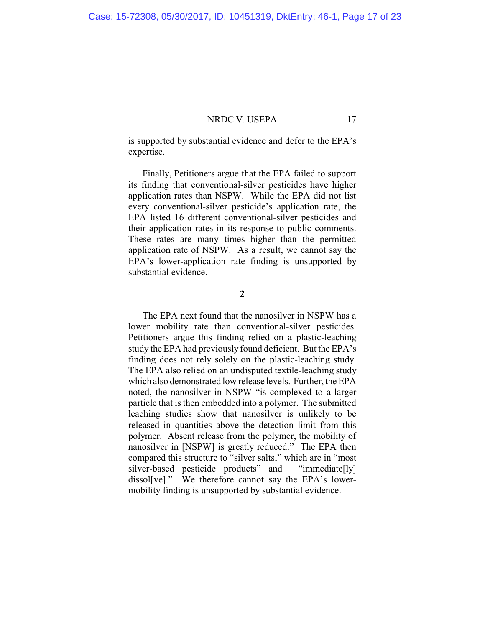is supported by substantial evidence and defer to the EPA's expertise.

Finally, Petitioners argue that the EPA failed to support its finding that conventional-silver pesticides have higher application rates than NSPW. While the EPA did not list every conventional-silver pesticide's application rate, the EPA listed 16 different conventional-silver pesticides and their application rates in its response to public comments. These rates are many times higher than the permitted application rate of NSPW. As a result, we cannot say the EPA's lower-application rate finding is unsupported by substantial evidence.

**2**

The EPA next found that the nanosilver in NSPW has a lower mobility rate than conventional-silver pesticides. Petitioners argue this finding relied on a plastic-leaching study the EPA had previously found deficient. But the EPA's finding does not rely solely on the plastic-leaching study. The EPA also relied on an undisputed textile-leaching study which also demonstrated low release levels. Further, the EPA noted, the nanosilver in NSPW "is complexed to a larger particle that is then embedded into a polymer. The submitted leaching studies show that nanosilver is unlikely to be released in quantities above the detection limit from this polymer. Absent release from the polymer, the mobility of nanosilver in [NSPW] is greatly reduced." The EPA then compared this structure to "silver salts," which are in "most silver-based pesticide products" and "immediate[ly] dissol[ve]." We therefore cannot say the EPA's lowermobility finding is unsupported by substantial evidence.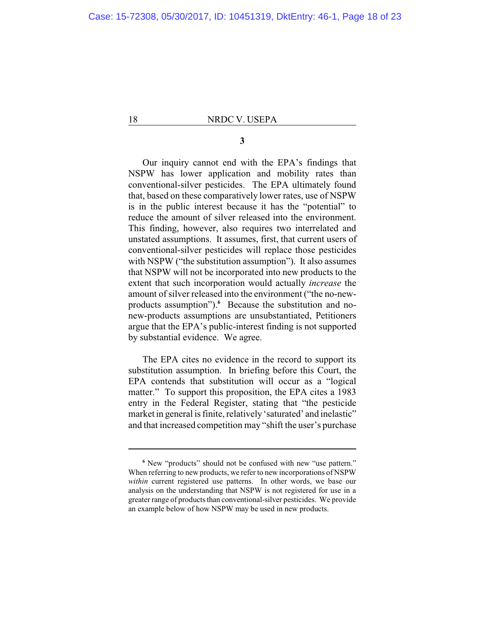### **3**

Our inquiry cannot end with the EPA's findings that NSPW has lower application and mobility rates than conventional-silver pesticides. The EPA ultimately found that, based on these comparatively lower rates, use of NSPW is in the public interest because it has the "potential" to reduce the amount of silver released into the environment. This finding, however, also requires two interrelated and unstated assumptions. It assumes, first, that current users of conventional-silver pesticides will replace those pesticides with NSPW ("the substitution assumption"). It also assumes that NSPW will not be incorporated into new products to the extent that such incorporation would actually *increase* the amount of silver released into the environment ("the no-newproducts assumption").**<sup>6</sup>** Because the substitution and nonew-products assumptions are unsubstantiated, Petitioners argue that the EPA's public-interest finding is not supported by substantial evidence. We agree.

The EPA cites no evidence in the record to support its substitution assumption. In briefing before this Court, the EPA contends that substitution will occur as a "logical matter." To support this proposition, the EPA cites a 1983 entry in the Federal Register, stating that "the pesticide market in general is finite, relatively 'saturated' and inelastic" and that increased competition may "shift the user's purchase

**<sup>6</sup>** New "products" should not be confused with new "use pattern." When referring to new products, we refer to new incorporations of NSPW *within* current registered use patterns. In other words, we base our analysis on the understanding that NSPW is not registered for use in a greater range of products than conventional-silver pesticides. We provide an example below of how NSPW may be used in new products.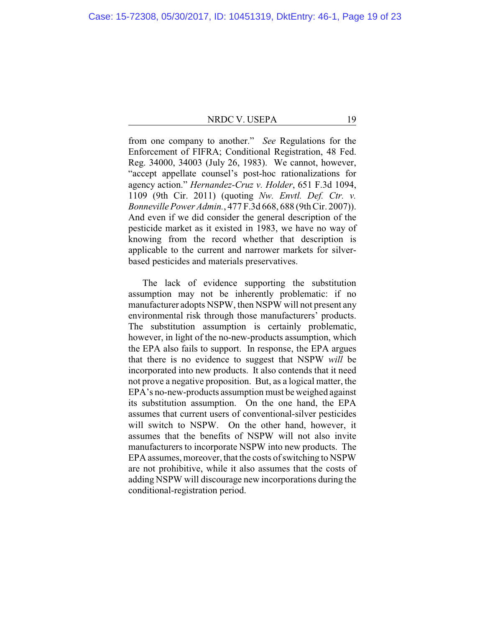from one company to another." *See* Regulations for the Enforcement of FIFRA; Conditional Registration, 48 Fed. Reg. 34000, 34003 (July 26, 1983). We cannot, however, "accept appellate counsel's post-hoc rationalizations for agency action." *Hernandez-Cruz v. Holder*, 651 F.3d 1094, 1109 (9th Cir. 2011) (quoting *Nw. Envtl. Def. Ctr. v. Bonneville Power Admin.*, 477 F.3d 668, 688 (9th Cir. 2007)). And even if we did consider the general description of the pesticide market as it existed in 1983, we have no way of knowing from the record whether that description is applicable to the current and narrower markets for silverbased pesticides and materials preservatives.

The lack of evidence supporting the substitution assumption may not be inherently problematic: if no manufacturer adopts NSPW, then NSPW will not present any environmental risk through those manufacturers' products. The substitution assumption is certainly problematic, however, in light of the no-new-products assumption, which the EPA also fails to support. In response, the EPA argues that there is no evidence to suggest that NSPW *will* be incorporated into new products. It also contends that it need not prove a negative proposition. But, as a logical matter, the EPA's no-new-products assumption must be weighed against its substitution assumption. On the one hand, the EPA assumes that current users of conventional-silver pesticides will switch to NSPW. On the other hand, however, it assumes that the benefits of NSPW will not also invite manufacturers to incorporate NSPW into new products. The EPA assumes, moreover, that the costs of switching to NSPW are not prohibitive, while it also assumes that the costs of adding NSPW will discourage new incorporations during the conditional-registration period.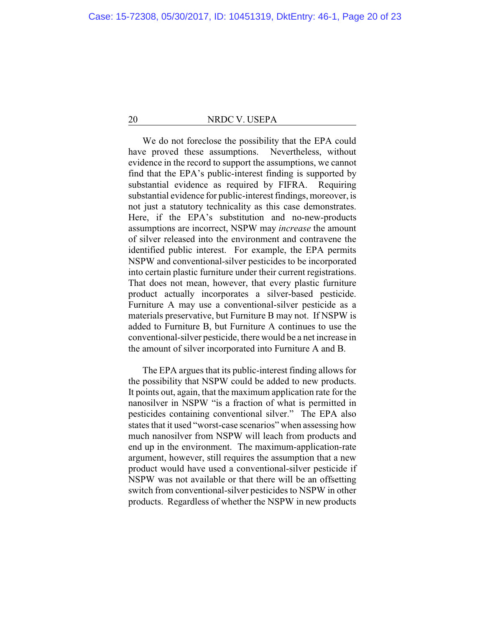We do not foreclose the possibility that the EPA could have proved these assumptions. Nevertheless, without evidence in the record to support the assumptions, we cannot find that the EPA's public-interest finding is supported by substantial evidence as required by FIFRA. Requiring substantial evidence for public-interest findings, moreover, is not just a statutory technicality as this case demonstrates. Here, if the EPA's substitution and no-new-products assumptions are incorrect, NSPW may *increase* the amount of silver released into the environment and contravene the identified public interest. For example, the EPA permits NSPW and conventional-silver pesticides to be incorporated into certain plastic furniture under their current registrations. That does not mean, however, that every plastic furniture product actually incorporates a silver-based pesticide. Furniture A may use a conventional-silver pesticide as a materials preservative, but Furniture B may not. If NSPW is added to Furniture B, but Furniture A continues to use the conventional-silver pesticide, there would be a net increase in the amount of silver incorporated into Furniture A and B.

The EPA argues that its public-interest finding allows for the possibility that NSPW could be added to new products. It points out, again, that the maximum application rate for the nanosilver in NSPW "is a fraction of what is permitted in pesticides containing conventional silver." The EPA also states that it used "worst-case scenarios" when assessing how much nanosilver from NSPW will leach from products and end up in the environment. The maximum-application-rate argument, however, still requires the assumption that a new product would have used a conventional-silver pesticide if NSPW was not available or that there will be an offsetting switch from conventional-silver pesticides to NSPW in other products. Regardless of whether the NSPW in new products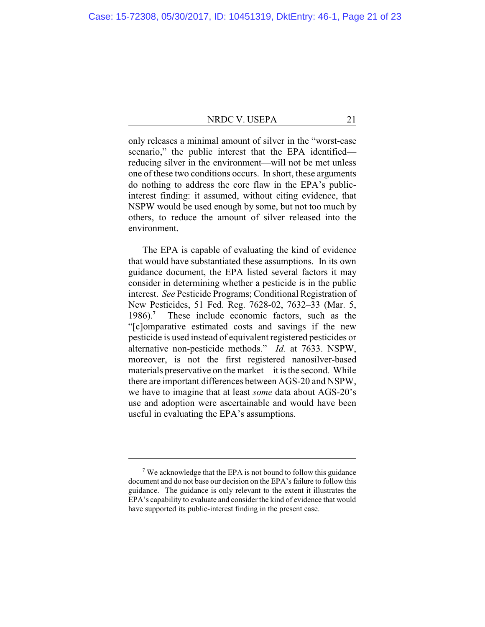only releases a minimal amount of silver in the "worst-case scenario," the public interest that the EPA identified reducing silver in the environment—will not be met unless one of these two conditions occurs. In short, these arguments do nothing to address the core flaw in the EPA's publicinterest finding: it assumed, without citing evidence, that NSPW would be used enough by some, but not too much by others, to reduce the amount of silver released into the environment.

The EPA is capable of evaluating the kind of evidence that would have substantiated these assumptions. In its own guidance document, the EPA listed several factors it may consider in determining whether a pesticide is in the public interest. *See* Pesticide Programs; Conditional Registration of New Pesticides, 51 Fed. Reg. 7628-02, 7632–33 (Mar. 5, 1986).**<sup>7</sup>** These include economic factors, such as the "[c]omparative estimated costs and savings if the new pesticide is used instead of equivalent registered pesticides or alternative non-pesticide methods." *Id.* at 7633. NSPW, moreover, is not the first registered nanosilver-based materials preservative on the market—it is the second. While there are important differences between AGS-20 and NSPW, we have to imagine that at least *some* data about AGS-20's use and adoption were ascertainable and would have been useful in evaluating the EPA's assumptions.

**<sup>7</sup>** We acknowledge that the EPA is not bound to follow this guidance document and do not base our decision on the EPA's failure to follow this guidance. The guidance is only relevant to the extent it illustrates the EPA's capability to evaluate and consider the kind of evidence that would have supported its public-interest finding in the present case.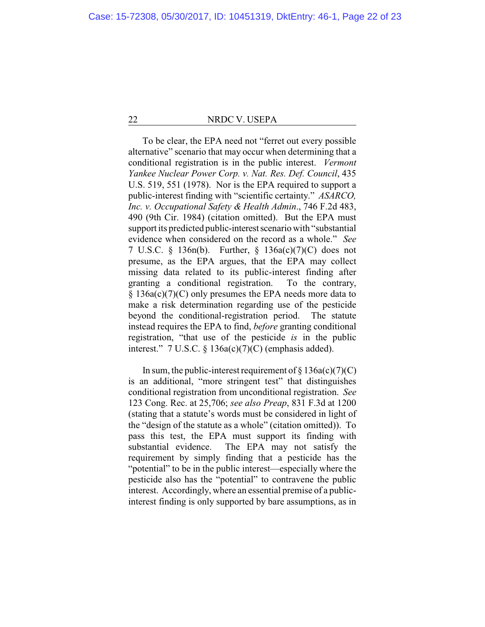To be clear, the EPA need not "ferret out every possible alternative" scenario that may occur when determining that a conditional registration is in the public interest. *Vermont Yankee Nuclear Power Corp. v. Nat. Res. Def. Council*, 435 U.S. 519, 551 (1978). Nor is the EPA required to support a public-interest finding with "scientific certainty." *ASARCO, Inc. v. Occupational Safety & Health Admin*., 746 F.2d 483, 490 (9th Cir. 1984) (citation omitted). But the EPA must support its predicted public-interest scenario with "substantial" evidence when considered on the record as a whole." *See* 7 U.S.C. § 136n(b). Further, § 136a(c)(7)(C) does not presume, as the EPA argues, that the EPA may collect missing data related to its public-interest finding after granting a conditional registration. To the contrary, § 136a(c)(7)(C) only presumes the EPA needs more data to make a risk determination regarding use of the pesticide beyond the conditional-registration period. The statute instead requires the EPA to find, *before* granting conditional registration, "that use of the pesticide *is* in the public interest."  $7 \text{ U.S.C. } § 136a(c)(7)(C)$  (emphasis added).

In sum, the public-interest requirement of  $\S 136a(c)(7)(C)$ is an additional, "more stringent test" that distinguishes conditional registration from unconditional registration. *See* 123 Cong. Rec. at 25,706; *see also Preap*, 831 F.3d at 1200 (stating that a statute's words must be considered in light of the "design of the statute as a whole" (citation omitted)). To pass this test, the EPA must support its finding with substantial evidence. The EPA may not satisfy the requirement by simply finding that a pesticide has the "potential" to be in the public interest—especially where the pesticide also has the "potential" to contravene the public interest. Accordingly, where an essential premise of a publicinterest finding is only supported by bare assumptions, as in